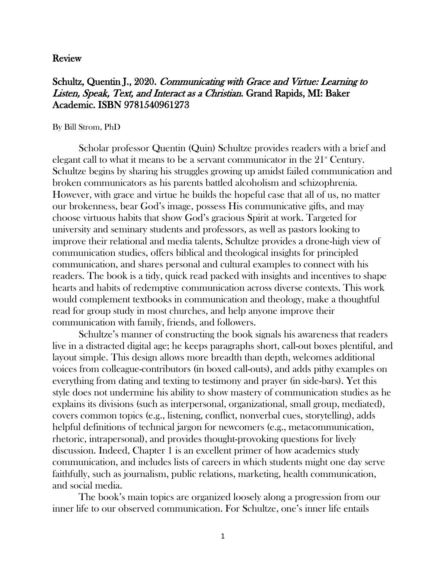## Review

## Schultz, Quentin J., 2020. Communicating with Grace and Virtue: Learning to Listen, Speak, Text, and Interact as a Christian. Grand Rapids, MI: Baker Academic. ISBN 9781540961273

## By Bill Strom, PhD

Scholar professor Quentin (Quin) Schultze provides readers with a brief and elegant call to what it means to be a servant communicator in the  $21<sup>{\ast}</sup>$  Century. Schultze begins by sharing his struggles growing up amidst failed communication and broken communicators as his parents battled alcoholism and schizophrenia. However, with grace and virtue he builds the hopeful case that all of us, no matter our brokenness, bear God's image, possess His communicative gifts, and may choose virtuous habits that show God's gracious Spirit at work. Targeted for university and seminary students and professors, as well as pastors looking to improve their relational and media talents, Schultze provides a drone-high view of communication studies, offers biblical and theological insights for principled communication, and shares personal and cultural examples to connect with his readers. The book is a tidy, quick read packed with insights and incentives to shape hearts and habits of redemptive communication across diverse contexts. This work would complement textbooks in communication and theology, make a thoughtful read for group study in most churches, and help anyone improve their communication with family, friends, and followers.

Schultze's manner of constructing the book signals his awareness that readers live in a distracted digital age; he keeps paragraphs short, call-out boxes plentiful, and layout simple. This design allows more breadth than depth, welcomes additional voices from colleague-contributors (in boxed call-outs), and adds pithy examples on everything from dating and texting to testimony and prayer (in side-bars). Yet this style does not undermine his ability to show mastery of communication studies as he explains its divisions (such as interpersonal, organizational, small group, mediated), covers common topics (e.g., listening, conflict, nonverbal cues, storytelling), adds helpful definitions of technical jargon for newcomers (e.g., metacommunication, rhetoric, intrapersonal), and provides thought-provoking questions for lively discussion. Indeed, Chapter 1 is an excellent primer of how academics study communication, and includes lists of careers in which students might one day serve faithfully, such as journalism, public relations, marketing, health communication, and social media.

The book's main topics are organized loosely along a progression from our inner life to our observed communication. For Schultze, one's inner life entails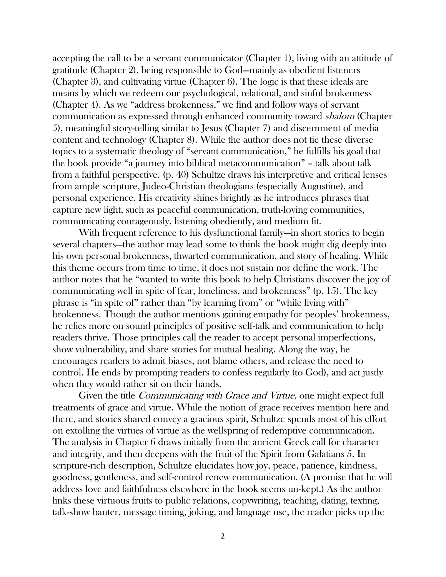accepting the call to be a servant communicator (Chapter 1), living with an attitude of gratitude (Chapter 2), being responsible to God—mainly as obedient listeners (Chapter 3), and cultivating virtue (Chapter 6). The logic is that these ideals are means by which we redeem our psychological, relational, and sinful brokenness (Chapter 4). As we "address brokenness," we find and follow ways of servant communication as expressed through enhanced community toward shalom (Chapter 5), meaningful story-telling similar to Jesus (Chapter 7) and discernment of media content and technology (Chapter 8). While the author does not tie these diverse topics to a systematic theology of "servant communication," he fulfills his goal that the book provide "a journey into biblical metacommunication" – talk about talk from a faithful perspective. (p. 40) Schultze draws his interpretive and critical lenses from ample scripture, Judeo-Christian theologians (especially Augustine), and personal experience. His creativity shines brightly as he introduces phrases that capture new light, such as peaceful communication, truth-loving communities, communicating courageously, listening obediently, and medium fit.

With frequent reference to his dysfunctional family—in short stories to begin several chapters—the author may lead some to think the book might dig deeply into his own personal brokenness, thwarted communication, and story of healing. While this theme occurs from time to time, it does not sustain nor define the work. The author notes that he "wanted to write this book to help Christians discover the joy of communicating well in spite of fear, loneliness, and brokenness" (p. 15). The key phrase is "in spite of" rather than "by learning from" or "while living with" brokenness. Though the author mentions gaining empathy for peoples' brokenness, he relies more on sound principles of positive self-talk and communication to help readers thrive. Those principles call the reader to accept personal imperfections, show vulnerability, and share stories for mutual healing. Along the way, he encourages readers to admit biases, not blame others, and release the need to control. He ends by prompting readers to confess regularly (to God), and act justly when they would rather sit on their hands.

Given the title Communicating with Grace and Virtue, one might expect full treatments of grace and virtue. While the notion of grace receives mention here and there, and stories shared convey a gracious spirit, Schultze spends most of his effort on extolling the virtues of virtue as the wellspring of redemptive communication. The analysis in Chapter 6 draws initially from the ancient Greek call for character and integrity, and then deepens with the fruit of the Spirit from Galatians 5. In scripture-rich description, Schultze elucidates how joy, peace, patience, kindness, goodness, gentleness, and self-control renew communication. (A promise that he will address love and faithfulness elsewhere in the book seems un-kept.) As the author links these virtuous fruits to public relations, copywriting, teaching, dating, texting, talk-show banter, message timing, joking, and language use, the reader picks up the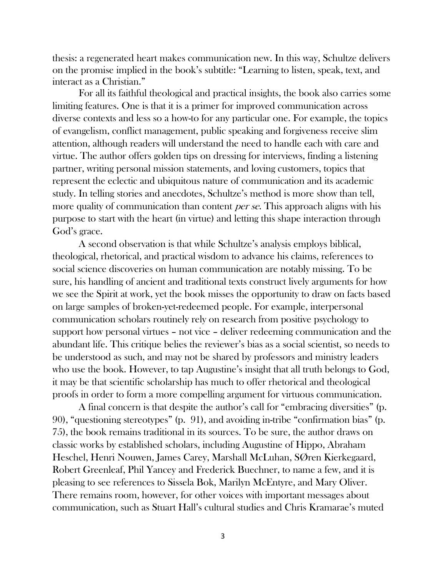thesis: a regenerated heart makes communication new. In this way, Schultze delivers on the promise implied in the book's subtitle: "Learning to listen, speak, text, and interact as a Christian."

For all its faithful theological and practical insights, the book also carries some limiting features. One is that it is a primer for improved communication across diverse contexts and less so a how-to for any particular one. For example, the topics of evangelism, conflict management, public speaking and forgiveness receive slim attention, although readers will understand the need to handle each with care and virtue. The author offers golden tips on dressing for interviews, finding a listening partner, writing personal mission statements, and loving customers, topics that represent the eclectic and ubiquitous nature of communication and its academic study. In telling stories and anecdotes, Schultze's method is more show than tell, more quality of communication than content *per se*. This approach aligns with his purpose to start with the heart (in virtue) and letting this shape interaction through God's grace.

A second observation is that while Schultze's analysis employs biblical, theological, rhetorical, and practical wisdom to advance his claims, references to social science discoveries on human communication are notably missing. To be sure, his handling of ancient and traditional texts construct lively arguments for how we see the Spirit at work, yet the book misses the opportunity to draw on facts based on large samples of broken-yet-redeemed people. For example, interpersonal communication scholars routinely rely on research from positive psychology to support how personal virtues – not vice – deliver redeeming communication and the abundant life. This critique belies the reviewer's bias as a social scientist, so needs to be understood as such, and may not be shared by professors and ministry leaders who use the book. However, to tap Augustine's insight that all truth belongs to God, it may be that scientific scholarship has much to offer rhetorical and theological proofs in order to form a more compelling argument for virtuous communication.

A final concern is that despite the author's call for "embracing diversities" (p. 90), "questioning stereotypes" (p. 91), and avoiding in-tribe "confirmation bias" (p. 75), the book remains traditional in its sources. To be sure, the author draws on classic works by established scholars, including Augustine of Hippo, Abraham Heschel, Henri Nouwen, James Carey, Marshall McLuhan, SØren Kierkegaard, Robert Greenleaf, Phil Yancey and Frederick Buechner, to name a few, and it is pleasing to see references to Sissela Bok, Marilyn McEntyre, and Mary Oliver. There remains room, however, for other voices with important messages about communication, such as Stuart Hall's cultural studies and Chris Kramarae's muted